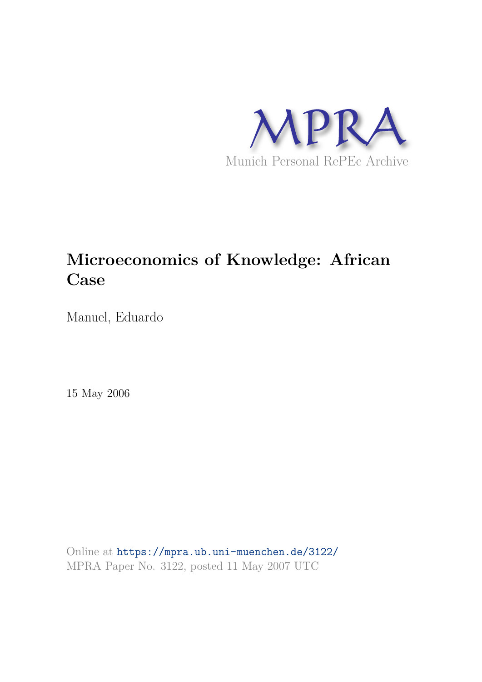

# **Microeconomics of Knowledge: African Case**

Manuel, Eduardo

15 May 2006

Online at https://mpra.ub.uni-muenchen.de/3122/ MPRA Paper No. 3122, posted 11 May 2007 UTC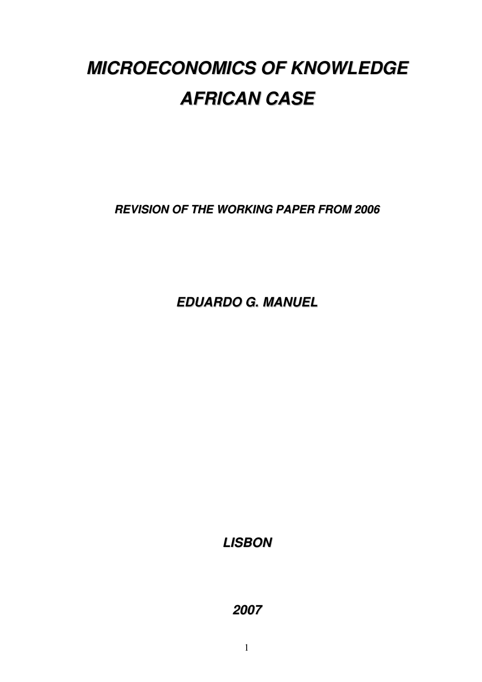# **MICROECONOMICS OF KNOWLEDGE AFRICAN CASE**

**REVISION OF THE WORKING PAPER FROM 2006**

**EDUARDO G. MANUEL**

**LISBON**

**2007**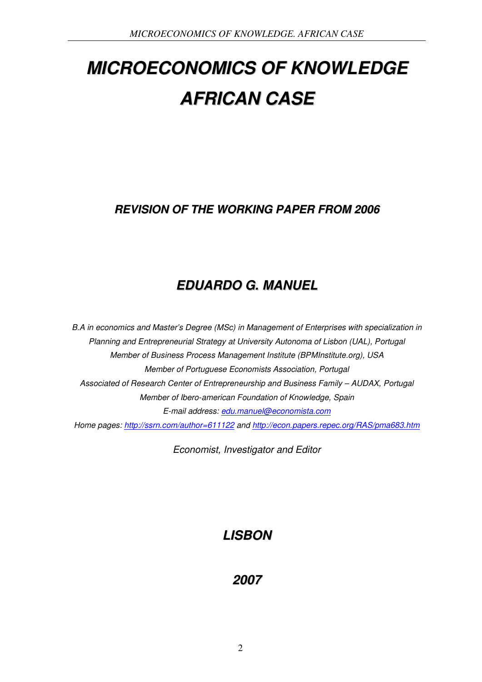# **MICROECONOMICS OF KNOWLEDGE AFRICAN CASE**

# **REVISION OF THE WORKING PAPER FROM 2006**

# **EDUARDO G. MANUEL**

*B.A in economics and Master's Degree (MSc) in Management of Enterprises with specialization in Planning and Entrepreneurial Strategy at University Autonoma of Lisbon (UAL), Portugal Member of Business Process Management Institute (BPMInstitute.org), USA Member of Portuguese Economists Association, Portugal Associated of Research Center of Entrepreneurship and Business Family – AUDAX, Portugal Member of Ibero-american Foundation of Knowledge, Spain E-mail address: edu.manuel@economista.com Home pages: http://ssrn.com/author=611122 and http://econ.papers.repec.org/RAS/pma683.htm*

*Economist, Investigator and Editor*

# **LISBON**

# **2007**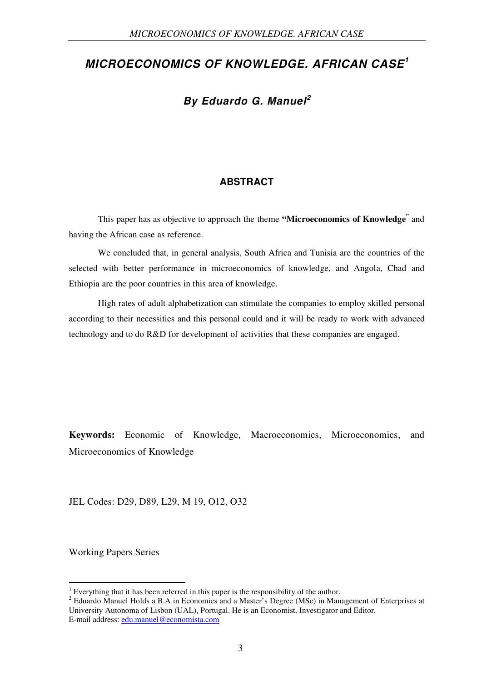## **MICROECONOMICS OF KNOWLEDGE. AFRICAN CASE<sup>1</sup>**

## **By Eduardo G. Manuel<sup>2</sup>**

#### **ABSTRACT**

This paper has as objective to approach the theme **"Microeconomics of Knowledge"** and having the African case as reference.

We concluded that, in general analysis, South Africa and Tunisia are the countries of the selected with better performance in microeconomics of knowledge, and Angola, Chad and Ethiopia are the poor countries in this area of knowledge.

High rates of adult alphabetization can stimulate the companies to employ skilled personal according to their necessities and this personal could and it will be ready to work with advanced technology and to do R&D for development of activities that these companies are engaged.

**Keywords:** Economic of Knowledge, Macroeconomics, Microeconomics, and Microeconomics of Knowledge

JEL Codes: D29, D89, L29, M 19, O12, O32

Working Papers Series

-

<sup>&</sup>lt;sup>1</sup> Everything that it has been referred in this paper is the responsibility of the author.

<sup>&</sup>lt;sup>2</sup> Eduardo Manuel Holds a B.A in Economics and a Master's Degree (MSc) in Management of Enterprises at University Autonoma of Lisbon (UAL), Portugal. He is an Economist, Investigator and Editor. E-mail address: edu.manuel@economista.com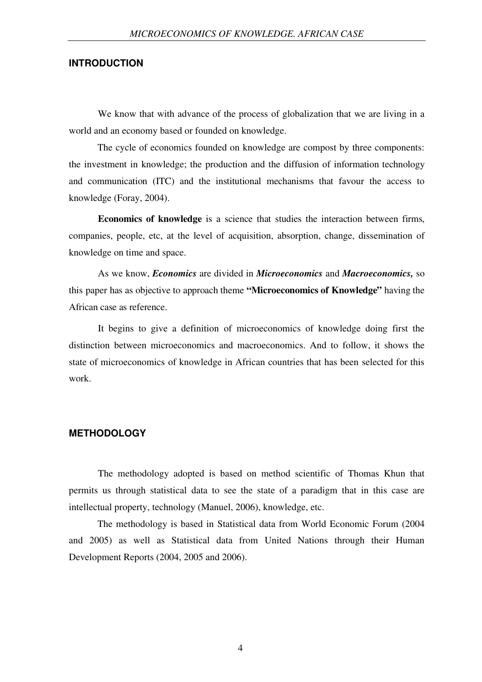#### **INTRODUCTION**

We know that with advance of the process of globalization that we are living in a world and an economy based or founded on knowledge.

The cycle of economics founded on knowledge are compost by three components: the investment in knowledge; the production and the diffusion of information technology and communication (ITC) and the institutional mechanisms that favour the access to knowledge (Foray, 2004).

**Economics of knowledge** is a science that studies the interaction between firms, companies, people, etc, at the level of acquisition, absorption, change, dissemination of knowledge on time and space.

As we know, *Economics* are divided in *Microeconomics* and *Macroeconomics,* so this paper has as objective to approach theme **"Microeconomics of Knowledge"** having the African case as reference.

It begins to give a definition of microeconomics of knowledge doing first the distinction between microeconomics and macroeconomics. And to follow, it shows the state of microeconomics of knowledge in African countries that has been selected for this work.

#### **METHODOLOGY**

The methodology adopted is based on method scientific of Thomas Khun that permits us through statistical data to see the state of a paradigm that in this case are intellectual property, technology (Manuel, 2006), knowledge, etc.

The methodology is based in Statistical data from World Economic Forum (2004 and 2005) as well as Statistical data from United Nations through their Human Development Reports (2004, 2005 and 2006).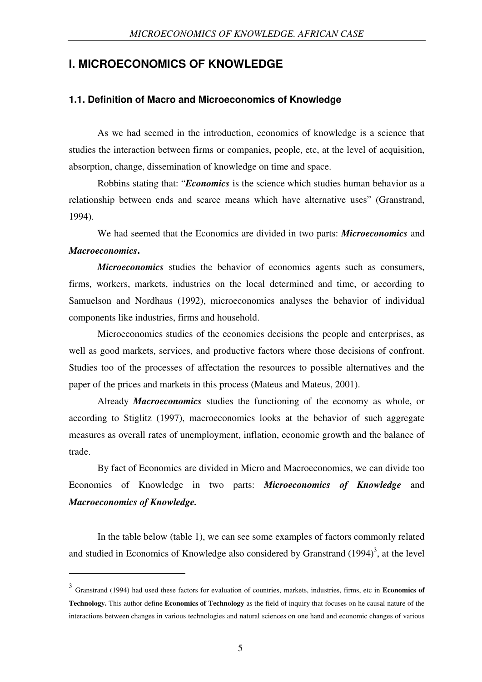## **I. MICROECONOMICS OF KNOWLEDGE**

#### **1.1. Definition of Macro and Microeconomics of Knowledge**

As we had seemed in the introduction, economics of knowledge is a science that studies the interaction between firms or companies, people, etc, at the level of acquisition, absorption, change, dissemination of knowledge on time and space.

Robbins stating that: "*Economics* is the science which studies human behavior as a relationship between ends and scarce means which have alternative uses" (Granstrand, 1994).

We had seemed that the Economics are divided in two parts: *Microeconomics* and *Macroeconomics***.**

*Microeconomics* studies the behavior of economics agents such as consumers, firms, workers, markets, industries on the local determined and time, or according to Samuelson and Nordhaus (1992), microeconomics analyses the behavior of individual components like industries, firms and household.

Microeconomics studies of the economics decisions the people and enterprises, as well as good markets, services, and productive factors where those decisions of confront. Studies too of the processes of affectation the resources to possible alternatives and the paper of the prices and markets in this process (Mateus and Mateus, 2001).

Already *Macroeconomics* studies the functioning of the economy as whole, or according to Stiglitz (1997), macroeconomics looks at the behavior of such aggregate measures as overall rates of unemployment, inflation, economic growth and the balance of trade.

By fact of Economics are divided in Micro and Macroeconomics, we can divide too Economics of Knowledge in two parts: *Microeconomics of Knowledge* and *Macroeconomics of Knowledge.*

In the table below (table 1), we can see some examples of factors commonly related and studied in Economics of Knowledge also considered by Granstrand  $(1994)^3$ , at the level

-

<sup>3</sup> Granstrand (1994) had used these factors for evaluation of countries, markets, industries, firms, etc in **Economics of Technology.** This author define **Economics of Technology** as the field of inquiry that focuses on he causal nature of the interactions between changes in various technologies and natural sciences on one hand and economic changes of various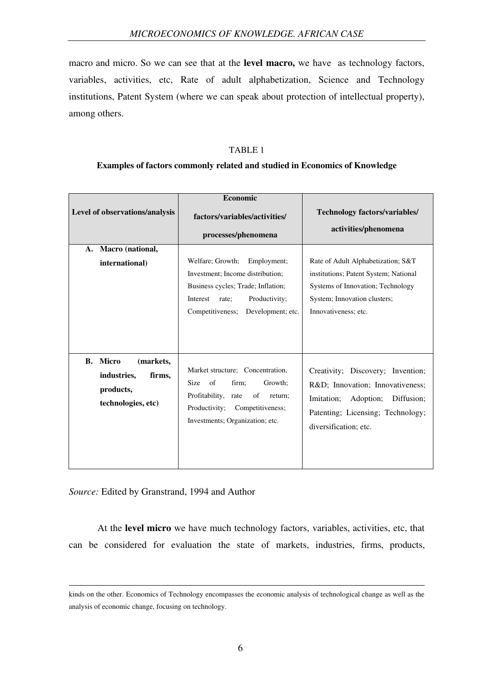macro and micro. So we can see that at the **level macro,** we have as technology factors, variables, activities, etc, Rate of adult alphabetization, Science and Technology institutions, Patent System (where we can speak about protection of intellectual property), among others.

#### TABLE 1

#### **Examples of factors commonly related and studied in Economics of Knowledge**

|                                                                                             | <b>Economic</b>                                                                                                                                                                          |                                                                                                                                                                             |  |
|---------------------------------------------------------------------------------------------|------------------------------------------------------------------------------------------------------------------------------------------------------------------------------------------|-----------------------------------------------------------------------------------------------------------------------------------------------------------------------------|--|
| Level of observations/analysis                                                              | factors/variables/activities/                                                                                                                                                            | <b>Technology factors/variables/</b>                                                                                                                                        |  |
|                                                                                             | processes/phenomena                                                                                                                                                                      | activities/phenomena                                                                                                                                                        |  |
| Macro (national,<br>A.                                                                      |                                                                                                                                                                                          |                                                                                                                                                                             |  |
| international)                                                                              | Welfare; Growth;<br>Employment;<br>Investment; Income distribution;<br>Business cycles; Trade; Inflation;<br>Productivity;<br>Interest<br>rate:<br>Competitiveness;<br>Development; etc. | Rate of Adult Alphabetization; S&T<br>institutions; Patent System; National<br>Systems of Innovation; Technology<br>System; Innovation clusters;<br>Innovativeness; etc.    |  |
| <b>Micro</b><br>(markets,<br>В.<br>industries,<br>firms,<br>products,<br>technologies, etc) | Market structure; Concentration,<br>of<br>Growth:<br>Size<br>firm;<br>Profitability,<br>of<br>rate<br>return;<br>Productivity;<br>Competitiveness;<br>Investments; Organization; etc.    | Creativity; Discovery; Invention;<br>R&D Innovation; Innovativeness;<br>Imitation;<br>Adoption;<br>Diffusion;<br>Patenting; Licensing; Technology;<br>diversification; etc. |  |

*Source:* Edited by Granstrand, 1994 and Author

-

At the **level micro** we have much technology factors, variables, activities, etc, that can be considered for evaluation the state of markets, industries, firms, products,

kinds on the other. Economics of Technology encompasses the economic analysis of technological change as well as the analysis of economic change, focusing on technology.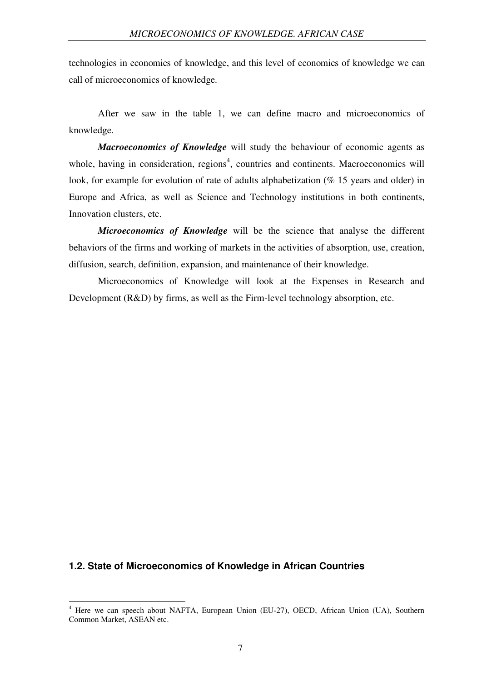technologies in economics of knowledge, and this level of economics of knowledge we can call of microeconomics of knowledge.

After we saw in the table 1, we can define macro and microeconomics of knowledge.

*Macroeconomics of Knowledge* will study the behaviour of economic agents as whole, having in consideration, regions<sup>4</sup>, countries and continents. Macroeconomics will look, for example for evolution of rate of adults alphabetization (% 15 years and older) in Europe and Africa, as well as Science and Technology institutions in both continents, Innovation clusters, etc.

*Microeconomics of Knowledge* will be the science that analyse the different behaviors of the firms and working of markets in the activities of absorption, use, creation, diffusion, search, definition, expansion, and maintenance of their knowledge.

Microeconomics of Knowledge will look at the Expenses in Research and Development (R&D) by firms, as well as the Firm-level technology absorption, etc.

#### **1.2. State of Microeconomics of Knowledge in African Countries**

<u>.</u>

<sup>4</sup> Here we can speech about NAFTA, European Union (EU-27), OECD, African Union (UA), Southern Common Market, ASEAN etc.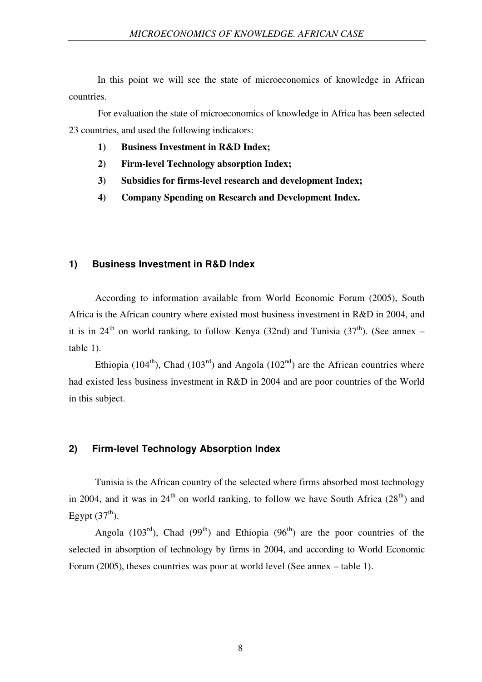In this point we will see the state of microeconomics of knowledge in African countries.

For evaluation the state of microeconomics of knowledge in Africa has been selected 23 countries, and used the following indicators:

- **1) Business Investment in R&D Index;**
- **2) Firm-level Technology absorption Index;**
- **3) Subsidies for firms-level research and development Index;**
- **4) Company Spending on Research and Development Index.**

#### **1) Business Investment in R&D Index**

According to information available from World Economic Forum (2005), South Africa is the African country where existed most business investment in R&D in 2004, and it is in 24<sup>th</sup> on world ranking, to follow Kenya (32nd) and Tunisia (37<sup>th</sup>). (See annex – table 1).

Ethiopia (104<sup>th</sup>), Chad (103<sup>rd</sup>) and Angola (102<sup>nd</sup>) are the African countries where had existed less business investment in R&D in 2004 and are poor countries of the World in this subject.

#### **2) Firm-level Technology Absorption Index**

Tunisia is the African country of the selected where firms absorbed most technology in 2004, and it was in  $24<sup>th</sup>$  on world ranking, to follow we have South Africa ( $28<sup>th</sup>$ ) and Egypt  $(37<sup>th</sup>)$ .

Angola (103<sup>rd</sup>), Chad (99<sup>th</sup>) and Ethiopia (96<sup>th</sup>) are the poor countries of the selected in absorption of technology by firms in 2004, and according to World Economic Forum (2005), theses countries was poor at world level (See annex – table 1).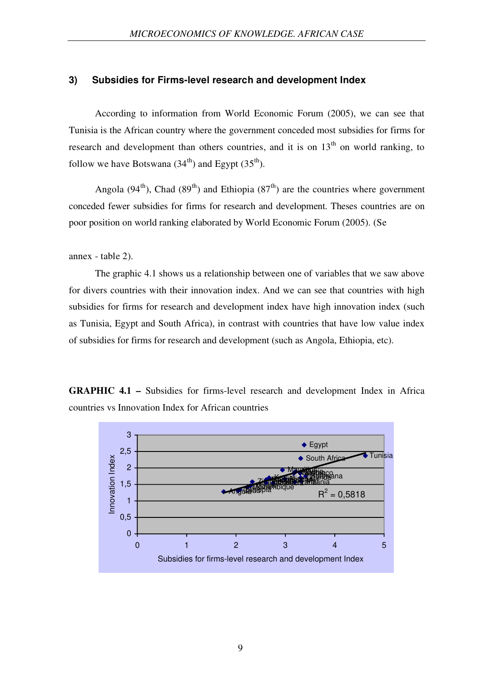#### **3) Subsidies for Firms-level research and development Index**

According to information from World Economic Forum (2005), we can see that Tunisia is the African country where the government conceded most subsidies for firms for research and development than others countries, and it is on  $13<sup>th</sup>$  on world ranking, to follow we have Botswana  $(34<sup>th</sup>)$  and Egypt  $(35<sup>th</sup>)$ .

Angola (94<sup>th</sup>), Chad (89<sup>th</sup>) and Ethiopia (87<sup>th</sup>) are the countries where government conceded fewer subsidies for firms for research and development. Theses countries are on poor position on world ranking elaborated by World Economic Forum (2005). (Se

annex - table 2).

The graphic 4.1 shows us a relationship between one of variables that we saw above for divers countries with their innovation index. And we can see that countries with high subsidies for firms for research and development index have high innovation index (such as Tunisia, Egypt and South Africa), in contrast with countries that have low value index of subsidies for firms for research and development (such as Angola, Ethiopia, etc).

**GRAPHIC 4.1 –** Subsidies for firms-level research and development Index in Africa countries vs Innovation Index for African countries

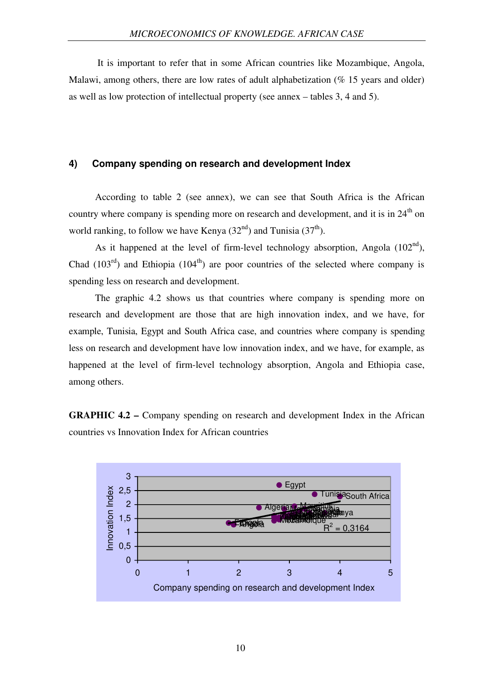It is important to refer that in some African countries like Mozambique, Angola, Malawi, among others, there are low rates of adult alphabetization ( $\%$  15 years and older) as well as low protection of intellectual property (see annex – tables 3, 4 and 5).

#### **4) Company spending on research and development Index**

According to table 2 (see annex), we can see that South Africa is the African country where company is spending more on research and development, and it is in  $24<sup>th</sup>$  on world ranking, to follow we have Kenya  $(32<sup>nd</sup>)$  and Tunisia  $(37<sup>th</sup>)$ .

As it happened at the level of firm-level technology absorption, Angola  $(102<sup>nd</sup>)$ , Chad  $(103<sup>rd</sup>)$  and Ethiopia  $(104<sup>th</sup>)$  are poor countries of the selected where company is spending less on research and development.

The graphic 4.2 shows us that countries where company is spending more on research and development are those that are high innovation index, and we have, for example, Tunisia, Egypt and South Africa case, and countries where company is spending less on research and development have low innovation index, and we have, for example, as happened at the level of firm-level technology absorption, Angola and Ethiopia case, among others.

**GRAPHIC 4.2 –** Company spending on research and development Index in the African countries vs Innovation Index for African countries

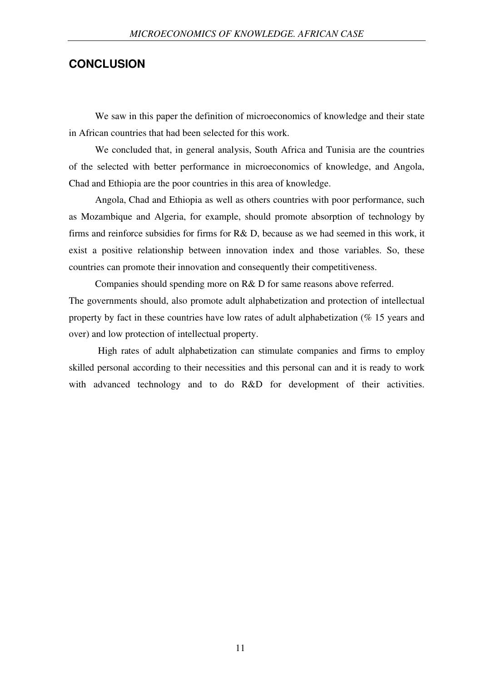### **CONCLUSION**

We saw in this paper the definition of microeconomics of knowledge and their state in African countries that had been selected for this work.

We concluded that, in general analysis, South Africa and Tunisia are the countries of the selected with better performance in microeconomics of knowledge, and Angola, Chad and Ethiopia are the poor countries in this area of knowledge.

Angola, Chad and Ethiopia as well as others countries with poor performance, such as Mozambique and Algeria, for example, should promote absorption of technology by firms and reinforce subsidies for firms for R& D, because as we had seemed in this work, it exist a positive relationship between innovation index and those variables. So, these countries can promote their innovation and consequently their competitiveness.

Companies should spending more on R& D for same reasons above referred. The governments should, also promote adult alphabetization and protection of intellectual property by fact in these countries have low rates of adult alphabetization (% 15 years and over) and low protection of intellectual property.

High rates of adult alphabetization can stimulate companies and firms to employ skilled personal according to their necessities and this personal can and it is ready to work with advanced technology and to do R&D for development of their activities.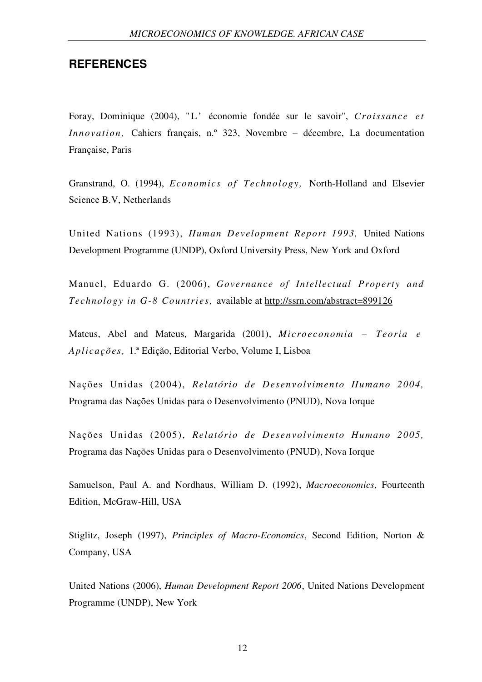### **REFERENCES**

Foray, Dominique (2004), " L' économie fondée sur le savoir", *Croissance et Innovation,* Cahiers français, n.º 323, Novembre – décembre, La documentation Française, Paris

Granstrand, O. (1994), *Economics of Technology,* North-Holland and Elsevier Science B.V, Netherlands

United Nations (1993), *Human Development Report 1993,* United Nations Development Programme (UNDP), Oxford University Press, New York and Oxford

Manuel, Eduardo G. (2006), *Governance of Intellectual Property and Technology in G-8 Countries,* available at http://ssrn.com/abstract=899126

Mateus, Abel and Mateus, Margarida (2001), *Microeconomia – Teoria e Aplicações,* 1.ª Edição, Editorial Verbo, Volume I, Lisboa

Nações Unidas (2004), *Relatório de Desenvolvimento Humano 2004,*  Programa das Nações Unidas para o Desenvolvimento (PNUD), Nova Iorque

Nações Unidas (2005), *Relatório de Desenvolvimento Humano 2005,*  Programa das Nações Unidas para o Desenvolvimento (PNUD), Nova Iorque

Samuelson, Paul A. and Nordhaus, William D. (1992), *Macroeconomics*, Fourteenth Edition, McGraw-Hill, USA

Stiglitz, Joseph (1997), *Principles of Macro-Economics*, Second Edition, Norton & Company, USA

United Nations (2006), *Human Development Report 2006*, United Nations Development Programme (UNDP), New York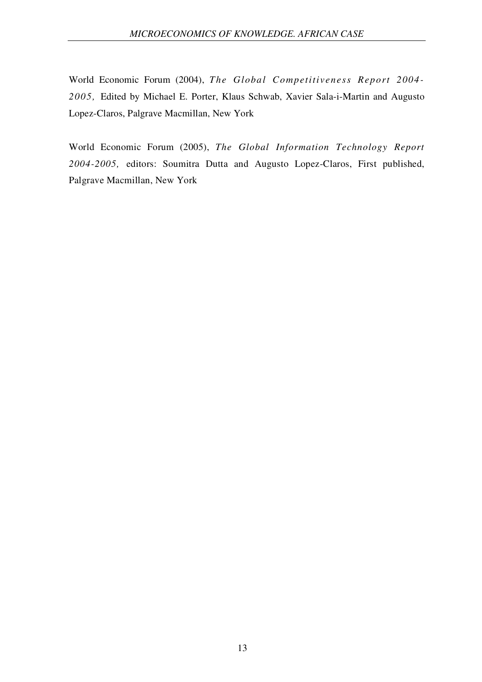World Economic Forum (2004), *The Global Competitiveness Report 2004- 2005,* Edited by Michael E. Porter, Klaus Schwab, Xavier Sala-i-Martin and Augusto Lopez-Claros, Palgrave Macmillan, New York

World Economic Forum (2005), *The Global Information Technology Report 2004-2005,* editors: Soumitra Dutta and Augusto Lopez-Claros, First published, Palgrave Macmillan, New York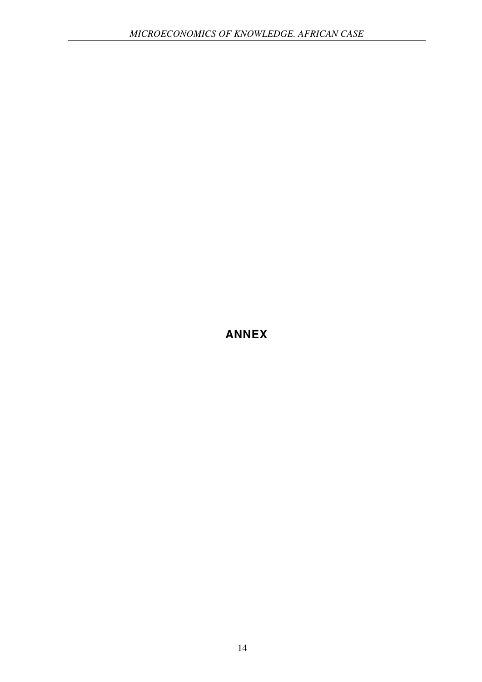**ANNEX**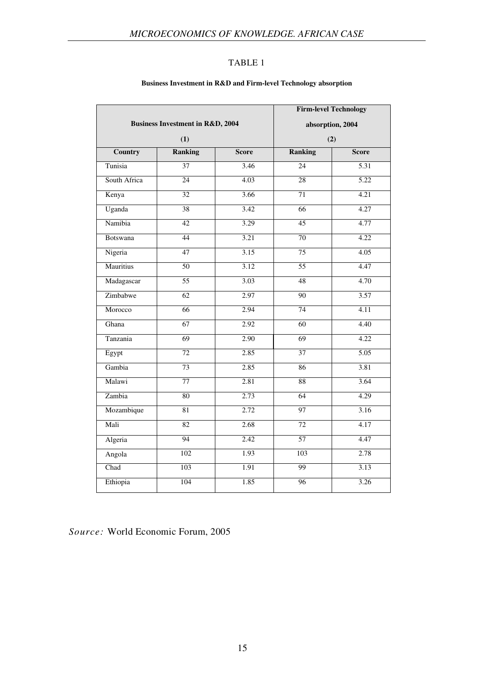#### **Business Investment in R&D and Firm-level Technology absorption**

|                                             |                  | <b>Firm-level Technology</b> |                  |                   |
|---------------------------------------------|------------------|------------------------------|------------------|-------------------|
| <b>Business Investment in R&amp;D, 2004</b> |                  | absorption, 2004             |                  |                   |
| (1)                                         |                  | (2)                          |                  |                   |
| <b>Country</b>                              | <b>Ranking</b>   | <b>Score</b>                 | <b>Ranking</b>   | <b>Score</b>      |
| Tunisia                                     | $\overline{37}$  | 3.46                         | $\overline{24}$  | $\overline{5.31}$ |
| South Africa                                | $\overline{24}$  | 4.03                         | $\overline{28}$  | $\overline{5.22}$ |
| Kenya                                       | $\overline{32}$  | 3.66                         | $\overline{71}$  | 4.21              |
| Uganda                                      | $\overline{38}$  | 3.42                         | $\overline{66}$  | 4.27              |
| Namibia                                     | 42               | 3.29                         | 45               | 4.77              |
| Botswana                                    | 44               | 3.21                         | 70               | 4.22              |
| Nigeria                                     | 47               | 3.15                         | 75               | 4.05              |
| Mauritius                                   | 50               | 3.12                         | 55               | 4.47              |
| Madagascar                                  | $\overline{55}$  | 3.03                         | $\overline{48}$  | 4.70              |
| Zimbabwe                                    | 62               | 2.97                         | 90               | 3.57              |
| Morocco                                     | 66               | 2.94                         | 74               | 4.11              |
| Ghana                                       | $\overline{67}$  | 2.92                         | 60               | 4.40              |
| Tanzania                                    | $\overline{69}$  | 2.90                         | $\overline{69}$  | 4.22              |
| Egypt                                       | 72               | 2.85                         | $\overline{37}$  | 5.05              |
| Gambia                                      | 73               | 2.85                         | 86               | 3.81              |
| Malawi                                      | 77               | 2.81                         | 88               | 3.64              |
| Zambia                                      | 80               | 2.73                         | 64               | 4.29              |
| Mozambique                                  | 81               | 2.72                         | $\overline{97}$  | 3.16              |
| Mali                                        | $\overline{82}$  | 2.68                         | $\overline{72}$  | 4.17              |
| Algeria                                     | 94               | 2.42                         | $\overline{57}$  | 4.47              |
| Angola                                      | $\overline{102}$ | 1.93                         | $\overline{103}$ | 2.78              |
| Chad                                        | $\overline{103}$ | 1.91                         | 99               | 3.13              |
| Ethiopia                                    | 104              | 1.85                         | $\overline{96}$  | 3.26              |

*Source:* World Economic Forum, 2005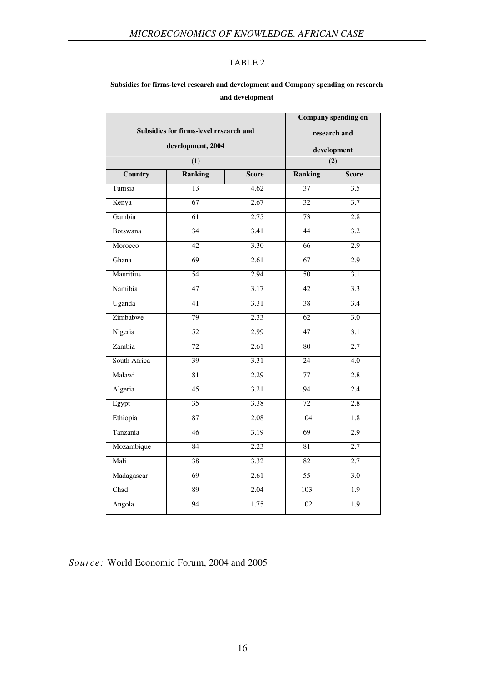#### **Subsidies for firms-level research and development and Company spending on research and development**

|                                        |                 |       | Company spending on |                  |  |
|----------------------------------------|-----------------|-------|---------------------|------------------|--|
| Subsidies for firms-level research and |                 |       | research and        |                  |  |
| development, 2004                      |                 |       |                     | development      |  |
|                                        | (1)             |       |                     | (2)              |  |
| Country                                | <b>Ranking</b>  | Score | <b>Ranking</b>      | <b>Score</b>     |  |
| Tunisia                                | 13              | 4.62  | $\overline{37}$     | $\overline{3.5}$ |  |
| Kenya                                  | $\overline{67}$ | 2.67  | $\overline{32}$     | $\overline{3.7}$ |  |
| Gambia                                 | 61              | 2.75  | 73                  | 2.8              |  |
| <b>Botswana</b>                        | 34              | 3.41  | $\overline{44}$     | 3.2              |  |
| Morocco                                | 42              | 3.30  | 66                  | 2.9              |  |
| Ghana                                  | 69              | 2.61  | 67                  | 2.9              |  |
| Mauritius                              | 54              | 2.94  | 50                  | 3.1              |  |
| Namibia                                | 47              | 3.17  | 42                  | 3.3              |  |
| Uganda                                 | $\overline{41}$ | 3.31  | 38                  | $\overline{3.4}$ |  |
| Zimbabwe                               | $\overline{7}9$ | 2.33  | 62                  | $\overline{3.0}$ |  |
| Nigeria                                | 52              | 2.99  | 47                  | 3.1              |  |
| Zambia                                 | 72              | 2.61  | $\overline{80}$     | 2.7              |  |
| South Africa                           | 39              | 3.31  | $\overline{24}$     | $\overline{4.0}$ |  |
| Malawi                                 | 81              | 2.29  | 77                  | 2.8              |  |
| Algeria                                | $\overline{45}$ | 3.21  | $\overline{94}$     | 2.4              |  |
| Egypt                                  | 35              | 3.38  | 72                  | $\overline{2.8}$ |  |
| Ethiopia                               | 87              | 2.08  | 104                 | 1.8              |  |
| Tanzania                               | $\overline{46}$ | 3.19  | $\overline{69}$     | 2.9              |  |
| Mozambique                             | 84              | 2.23  | 81                  | 2.7              |  |
| Mali                                   | 38              | 3.32  | 82                  | 2.7              |  |
| Madagascar                             | 69              | 2.61  | 55                  | 3.0              |  |
| Chad                                   | 89              | 2.04  | $\overline{103}$    | $\overline{1.9}$ |  |
| Angola                                 | 94              | 1.75  | $\overline{102}$    | $\overline{1.9}$ |  |

*Source:* World Economic Forum, 2004 and 2005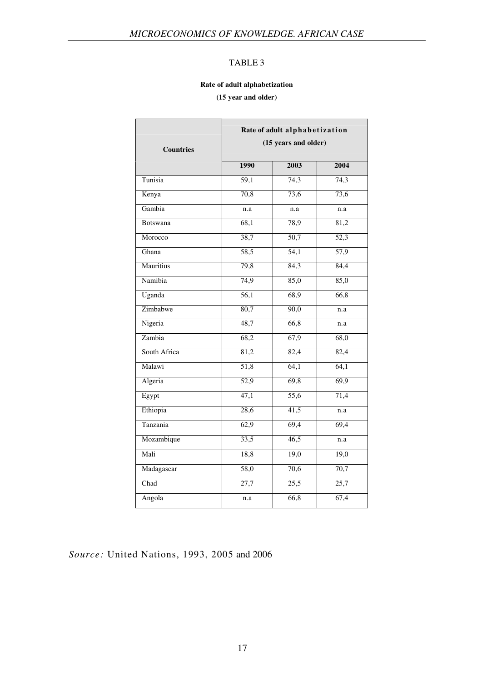#### **Rate of adult alphabetization**

**(15 year and older)**

| <b>Countries</b> | Rate of adult alphabetization<br>(15 years and older) |                   |                   |  |
|------------------|-------------------------------------------------------|-------------------|-------------------|--|
|                  | 1990                                                  | 2003              | 2004              |  |
| Tunisia          | 59,1                                                  | 74,3              | 74,3              |  |
| Kenya            | 70,8                                                  | 73,6              | 73,6              |  |
| Gambia           | n.a                                                   | n.a               | n.a               |  |
| Botswana         | 68,1                                                  | 78,9              | 81,2              |  |
| Morocco          | 38,7                                                  | $\overline{50,7}$ | $\overline{52,3}$ |  |
| Ghana            | 58,5                                                  | 54,1              | 57,9              |  |
| Mauritius        | 79,8                                                  | 84,3              | 84,4              |  |
| Namibia          | 74,9                                                  | 85,0              | 85,0              |  |
| Uganda           | $\overline{56,1}$                                     | 68,9              | 66,8              |  |
| Zimbabwe         | 80,7                                                  | 90,0              | n.a               |  |
| Nigeria          | 48,7                                                  | 66,8              | n.a               |  |
| Zambia           | 68,2                                                  | 67,9              | 68,0              |  |
| South Africa     | 81,2                                                  | 82,4              | 82,4              |  |
| Malawi           | $\overline{51,8}$                                     | 64,1              | 64,1              |  |
| Algeria          | $\overline{52,9}$                                     | 69,8              | 69,9              |  |
| Egypt            | 47,1                                                  | $\overline{55,6}$ | 71,4              |  |
| Ethiopia         | 28,6                                                  | 41,5              | n.a               |  |
| Tanzania         | 62,9                                                  | 69,4              | 69,4              |  |
| Mozambique       | 33,5                                                  | 46,5              | n.a               |  |
| Mali             | 18,8                                                  | 19,0              | 19,0              |  |
| Madagascar       | $\overline{58,0}$                                     | 70,6              | 70,7              |  |
| Chad             | 27,7                                                  | $\overline{25,5}$ | $\overline{25,7}$ |  |
| Angola           | n.a                                                   | 66,8              | 67,4              |  |

*Source:* United Nations, 1993, 2005 and 2006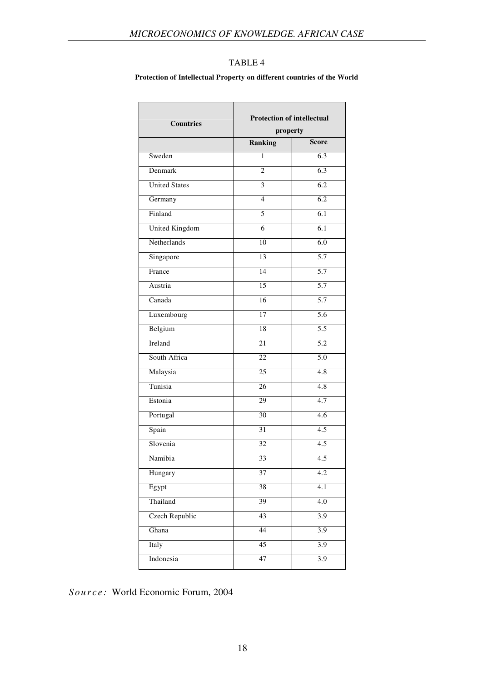#### **Protection of Intellectual Property on different countries of the World**

| <b>Countries</b>           | <b>Protection of intellectual</b><br>property |                  |  |
|----------------------------|-----------------------------------------------|------------------|--|
|                            | Ranking                                       | <b>Score</b>     |  |
| Sweden                     | 1                                             | 6.3              |  |
| Denmark                    | $\overline{c}$                                | 6.3              |  |
| <b>United States</b>       | 3                                             | $\overline{6.2}$ |  |
| Germany                    | $\overline{4}$                                | 6.2              |  |
| Finland                    | 5                                             | 6.1              |  |
| United Kingdom             | 6                                             | 6.1              |  |
| Netherlands                | 10                                            | $\overline{6.0}$ |  |
| Singapore                  | 13                                            | 5.7              |  |
| $\overline{\text{France}}$ | 14                                            | $\overline{5.7}$ |  |
| Austria                    | 15                                            | 5.7              |  |
| Canada                     | 16                                            | 5.7              |  |
| Luxembourg                 | 17                                            | 5.6              |  |
| Belgium                    | 18                                            | $\overline{5.5}$ |  |
| Ireland                    | 21                                            | $\overline{5.2}$ |  |
| South Africa               | 22                                            | 5.0              |  |
| Malaysia                   | 25                                            | 4.8              |  |
| Tunisia                    | 26                                            | 4.8              |  |
| Estonia                    | 29                                            | 4.7              |  |
| Portugal                   | 30                                            | 4.6              |  |
| Spain                      | 31                                            | 4.5              |  |
| Slovenia                   | 32                                            | $\overline{4.5}$ |  |
| Namibia                    | 33                                            | 4.5              |  |
| Hungary                    | 37                                            | 4.2              |  |
| Egypt                      | $\overline{38}$                               | 4.1              |  |
| Thailand                   | 39                                            | $4.0\,$          |  |
| <b>Czech Republic</b>      | 43                                            | $\overline{3.9}$ |  |
| Ghana                      | 44                                            | 3.9              |  |
| Italy                      | $\overline{45}$                               | 3.9              |  |
| Indonesia                  | 47                                            | 3.9              |  |
|                            |                                               |                  |  |

*S o u r c e :* World Economic Forum, 2004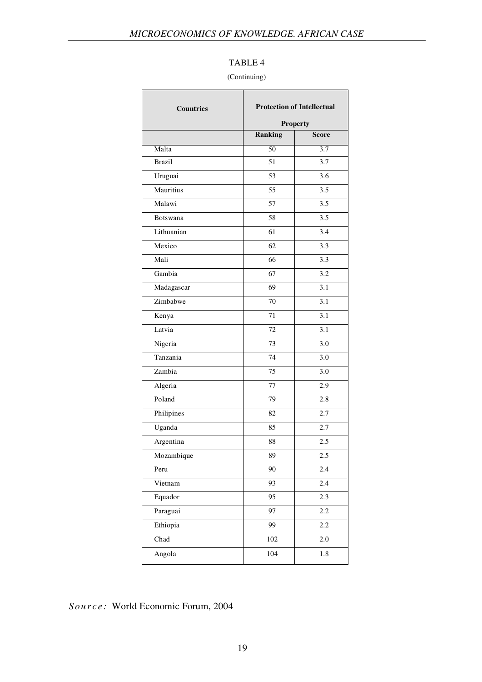#### (Continuing)

| <b>Countries</b> |         | <b>Protection of Intellectual</b><br><b>Property</b> |  |
|------------------|---------|------------------------------------------------------|--|
|                  | Ranking | <b>Score</b>                                         |  |
| Malta            | 50      | 3.7                                                  |  |
| <b>Brazil</b>    | 51      | 3.7                                                  |  |
| Uruguai          | 53      | 3.6                                                  |  |
| Mauritius        | 55      | 3.5                                                  |  |
| Malawi           | 57      | 3.5                                                  |  |
| Botswana         | 58      | 3.5                                                  |  |
| Lithuanian       | 61      | 3.4                                                  |  |
| Mexico           | 62      | 3.3                                                  |  |
| Mali             | 66      | 3.3                                                  |  |
| Gambia           | 67      | 3.2                                                  |  |
| Madagascar       | 69      | 3.1                                                  |  |
| Zimbabwe         | 70      | 3.1                                                  |  |
| Kenya            | 71      | 3.1                                                  |  |
| Latvia           | 72      | 3.1                                                  |  |
| Nigeria          | 73      | 3.0                                                  |  |
| Tanzania         | 74      | 3.0                                                  |  |
| Zambia           | 75      | 3.0                                                  |  |
| Algeria          | 77      | 2.9                                                  |  |
| Poland           | 79      | 2.8                                                  |  |
| Philipines       | 82      | 2.7                                                  |  |
| Uganda           | 85      | 2.7                                                  |  |
| Argentina        | 88      | 2.5                                                  |  |
| Mozambique       | 89      | 2.5                                                  |  |
| Peru             | 90      | 2.4                                                  |  |
| Vietnam          | 93      | 2.4                                                  |  |
| Equador          | 95      | 2.3                                                  |  |
| Paraguai         | 97      | $2.2\,$                                              |  |
| Ethiopia         | 99      | 2.2                                                  |  |
| Chad             | 102     | $2.0\,$                                              |  |
| Angola           | 104     | 1.8                                                  |  |
|                  |         |                                                      |  |

*S o u r c e :* World Economic Forum, 2004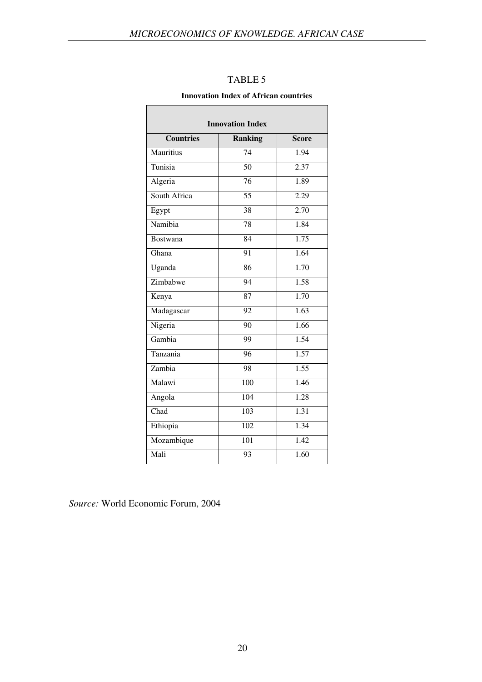| <b>Innovation Index</b> |                  |              |  |
|-------------------------|------------------|--------------|--|
| <b>Countries</b>        | <b>Ranking</b>   | <b>Score</b> |  |
| Mauritius               | 74               | 1.94         |  |
| Tunisia                 | $\overline{50}$  | 2.37         |  |
| Algeria                 | $\overline{76}$  | 1.89         |  |
| South Africa            | $\overline{55}$  | 2.29         |  |
| Egypt                   | 38               | 2.70         |  |
| Namibia                 | 78               | 1.84         |  |
| <b>Bostwana</b>         | $\overline{84}$  | 1.75         |  |
| Ghana                   | $\overline{91}$  | 1.64         |  |
| Uganda                  | $\overline{86}$  | 1.70         |  |
| Zimbabwe                | $\overline{94}$  | 1.58         |  |
| Kenya                   | 87               | 1.70         |  |
| Madagascar              | $\overline{92}$  | 1.63         |  |
| Nigeria                 | 90               | 1.66         |  |
| Gambia                  | 99               | 1.54         |  |
| Tanzania                | 96               | 1.57         |  |
| Zambia                  | 98               | 1.55         |  |
| Malawi                  | $\overline{100}$ | 1.46         |  |
| Angola                  | 104              | 1.28         |  |
| Chad                    | $\overline{103}$ | 1.31         |  |
| Ethiopia                | 102              | 1.34         |  |
| Mozambique              | $\overline{101}$ | 1.42         |  |
| Mali                    | 93               | 1.60         |  |

#### **Innovation Index of African countries**

*Source:* World Economic Forum, 2004